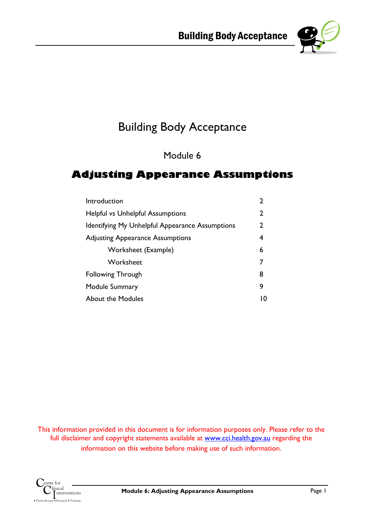

# Building Body Acceptance

Module 6

## **Adjusting Appearance Assumptions**

| Introduction                                    |   |
|-------------------------------------------------|---|
| <b>Helpful vs Unhelpful Assumptions</b>         | 2 |
| Identifying My Unhelpful Appearance Assumptions | 2 |
| <b>Adjusting Appearance Assumptions</b>         | 4 |
| Worksheet (Example)                             | 6 |
| Worksheet                                       |   |
| <b>Following Through</b>                        | 8 |
| Module Summary                                  | 9 |
| <b>About the Modules</b>                        |   |

This information provided in this document is for information purposes only. Please refer to the full disclaimer and copyright statements available at www.cci.health.gov.au regarding the information on this website before making use of such information.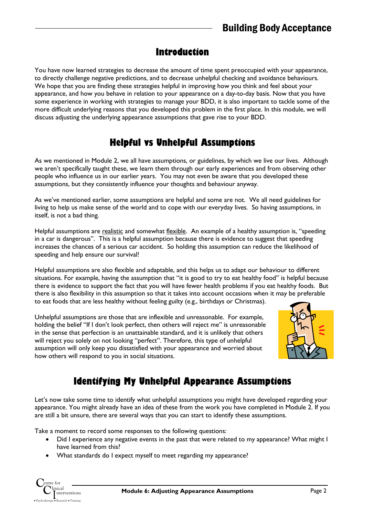## **Introduction**

You have now learned strategies to decrease the amount of time spent preoccupied with your appearance, to directly challenge negative predictions, and to decrease unhelpful checking and avoidance behaviours. We hope that you are finding these strategies helpful in improving how you think and feel about your appearance, and how you behave in relation to your appearance on a day-to-day basis. Now that you have some experience in working with strategies to manage your BDD, it is also important to tackle some of the more difficult underlying reasons that you developed this problem in the first place. In this module, we will discuss adjusting the underlying appearance assumptions that gave rise to your BDD.

# **Helpful vs Unhelpful Assumptions**

As we mentioned in Module 2, we all have assumptions, or guidelines, by which we live our lives. Although we aren't specifically taught these, we learn them through our early experiences and from observing other people who influence us in our earlier years. You may not even be aware that you developed these assumptions, but they consistently influence your thoughts and behaviour anyway.

As we've mentioned earlier, some assumptions are helpful and some are not. We all need guidelines for living to help us make sense of the world and to cope with our everyday lives. So having assumptions, in itself, is not a bad thing.

Helpful assumptions are realistic and somewhat flexible. An example of a healthy assumption is, "speeding in a car is dangerous". This is a helpful assumption because there is evidence to suggest that speeding increases the chances of a serious car accident. So holding this assumption can reduce the likelihood of speeding and help ensure our survival!

Helpful assumptions are also flexible and adaptable, and this helps us to adapt our behaviour to different situations. For example, having the assumption that "it is good to try to eat healthy food" is helpful because there is evidence to support the fact that you will have fewer health problems if you eat healthy foods. But there is also flexibility in this assumption so that it takes into account occasions when it may be preferable to eat foods that are less healthy without feeling guilty (e.g., birthdays or Christmas).

Unhelpful assumptions are those that are inflexible and unreasonable. For example, holding the belief "If I don't look perfect, then others will reject me" is unreasonable in the sense that perfection is an unattainable standard, and it is unlikely that others will reject you solely on not looking "perfect". Therefore, this type of unhelpful assumption will only keep you dissatisfied with your appearance and worried about how others will respond to you in social situations.



# **Identifying My Unhelpful Appearance Assumptions**

Let's now take some time to identify what unhelpful assumptions you might have developed regarding your appearance. You might already have an idea of these from the work you have completed in Module 2. If you are still a bit unsure, there are several ways that you can start to identify these assumptions.

Take a moment to record some responses to the following questions:

- Did I experience any negative events in the past that were related to my appearance? What might I have learned from this?
- What standards do I expect myself to meet regarding my appearance?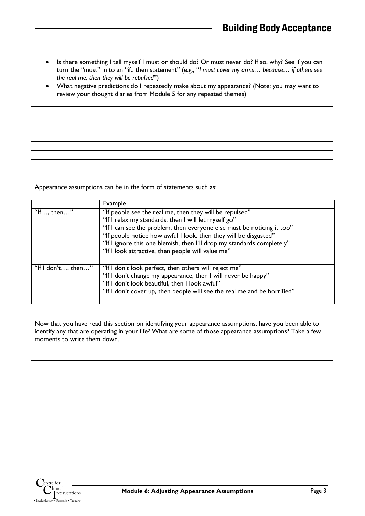- Is there something I tell myself I must or should do? Or must never do? If so, why? See if you can turn the "must" in to an "if.. then statement" (e.g., "*I must cover my arms… because… if others see the real me, then they will be repulsed*")
- What negative predictions do I repeatedly make about my appearance? (Note: you may want to review your thought diaries from Module 5 for any repeated themes)

Appearance assumptions can be in the form of statements such as:

|                    | Example                                                                                                                                                                                                                                                                                                                                                                                      |
|--------------------|----------------------------------------------------------------------------------------------------------------------------------------------------------------------------------------------------------------------------------------------------------------------------------------------------------------------------------------------------------------------------------------------|
| "If, then"         | "If people see the real me, then they will be repulsed"<br>"If I relax my standards, then I will let myself go"<br>"If I can see the problem, then everyone else must be noticing it too"<br>"If people notice how awful I look, then they will be disgusted"<br>"If I ignore this one blemish, then I'll drop my standards completely"<br>"If I look attractive, then people will value me" |
| "If I don't, then" | "If I don't look perfect, then others will reject me"<br>"If I don't change my appearance, then I will never be happy"<br>"If I don't look beautiful, then I look awful"<br>"If I don't cover up, then people will see the real me and be horrified"                                                                                                                                         |

Now that you have read this section on identifying your appearance assumptions, have you been able to identify any that are operating in your life? What are some of those appearance assumptions? Take a few moments to write them down.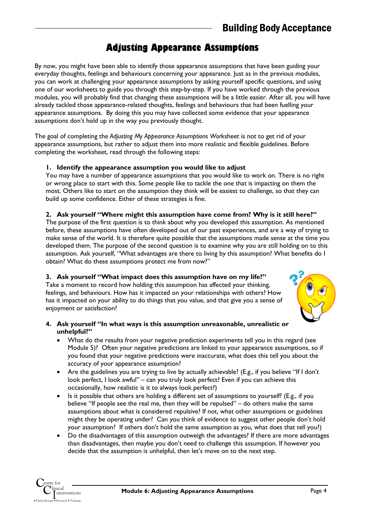# **Adjusting Appearance Assumptions**

By now, you might have been able to identify those appearance assumptions that have been guiding your everyday thoughts, feelings and behaviours concerning your appearance. Just as in the previous modules, you can work at challenging your appearance assumptions by asking yourself specific questions, and using one of our worksheets to guide you through this step-by-step. If you have worked through the previous modules, you will probably find that changing these assumptions will be a little easier. After all, you will have already tackled those appearance-related thoughts, feelings and behaviours that had been fuelling your appearance assumptions. By doing this you may have collected some evidence that your appearance assumptions don't hold up in the way you previously thought.

The goal of completing the *Adjusting My Appearance Assumptions Wor*ksheet is not to get rid of your appearance assumptions, but rather to adjust them into more realistic and flexible guidelines. Before completing the worksheet, read through the following steps:

### **1. Identify the appearance assumption you would like to adjust**

You may have a number of appearance assumptions that you would like to work on. There is no right or wrong place to start with this. Some people like to tackle the one that is impacting on them the most. Others like to start on the assumption they think will be easiest to challenge, so that they can build up some confidence. Either of these strategies is fine.

### **2. Ask yourself "Where might this assumption have come from? Why is it still here?"**

The purpose of the first question is to think about why you developed this assumption. As mentioned before, these assumptions have often developed out of our past experiences, and are a way of trying to make sense of the world. It is therefore quite possible that the assumptions made sense at the time you developed them. The purpose of the second question is to examine why you are still holding on to this assumption. Ask yourself, "What advantages are there to living by this assumption? What benefits do I obtain? What do these assumptions protect me from now?"

### **3. Ask yourself "What impact does this assumption have on my life?"**

Take a moment to record how holding this assumption has affected your thinking, feelings, and behaviours. How has it impacted on your relationships with others? How has it impacted on your ability to do things that you value, and that give you a sense of enjoyment or satisfaction?



### **4. Ask yourself "In what ways is this assumption unreasonable, unrealistic or unhelpful?"**

- What do the results from your negative prediction experiments tell you in this regard (see Module 5)? Often your negative predictions are linked to your appearance assumptions, so if you found that your negative predictions were inaccurate, what does this tell you about the accuracy of your appearance assumption?
- Are the guidelines you are trying to live by actually achievable? (E.g., if you believe "If I don't look perfect, I look awful" – can you truly look perfect? Even if you can achieve this occasionally, how realistic is it to always look perfect?)
- Is it possible that others are holding a different set of assumptions to yourself? (E.g., if you believe "If people see the real me, then they will be repulsed" – do others make the same assumptions about what is considered repulsive? If not, what other assumptions or guidelines might they be operating under? Can you think of evidence to suggest other people don't hold your assumption? If others don't hold the same assumption as you, what does that tell you?)
- Do the disadvantages of this assumption outweigh the advantages? If there are more advantages than disadvantages, then maybe you don't need to challenge this assumption. If however you decide that the assumption is unhelpful, then let's move on to the next step.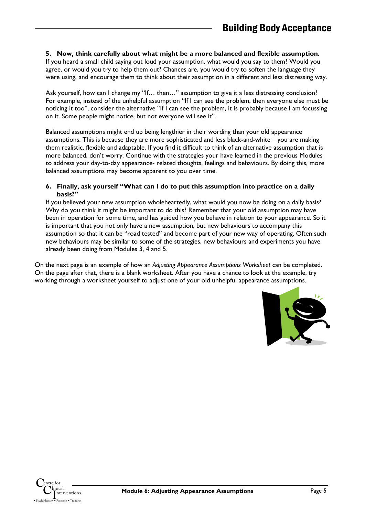#### **5. Now, think carefully about what might be a more balanced and flexible assumption.**

If you heard a small child saying out loud your assumption, what would you say to them? Would you agree, or would you try to help them out? Chances are, you would try to soften the language they were using, and encourage them to think about their assumption in a different and less distressing way.

Ask yourself, how can I change my "If... then..." assumption to give it a less distressing conclusion? For example, instead of the unhelpful assumption "If I can see the problem, then everyone else must be noticing it too", consider the alternative "If I can see the problem, it is probably because I am focussing on it. Some people might notice, but not everyone will see it".

Balanced assumptions might end up being lengthier in their wording than your old appearance assumptions. This is because they are more sophisticated and less black-and-white – you are making them realistic, flexible and adaptable. If you find it difficult to think of an alternative assumption that is more balanced, don't worry. Continue with the strategies your have learned in the previous Modules to address your day-to-day appearance- related thoughts, feelings and behaviours. By doing this, more balanced assumptions may become apparent to you over time.

#### **6. Finally, ask yourself "What can I do to put this assumption into practice on a daily basis?"**

If you believed your new assumption wholeheartedly, what would you now be doing on a daily basis? Why do you think it might be important to do this? Remember that your old assumption may have been in operation for some time, and has guided how you behave in relation to your appearance. So it is important that you not only have a new assumption, but new behaviours to accompany this assumption so that it can be "road tested" and become part of your new way of operating. Often such new behaviours may be similar to some of the strategies, new behaviours and experiments you have already been doing from Modules 3, 4 and 5.

On the next page is an example of how an *Adjusting Appearance Assumptions Worksheet* can be completed. On the page after that, there is a blank worksheet. After you have a chance to look at the example, try working through a worksheet yourself to adjust one of your old unhelpful appearance assumptions.

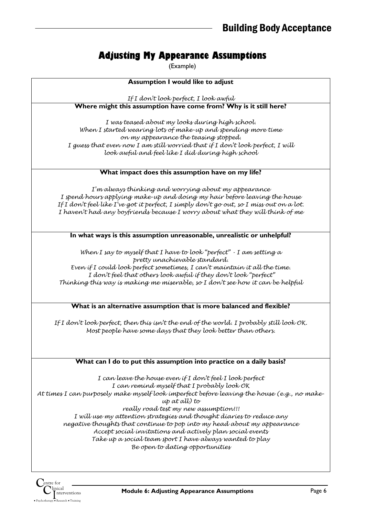# **Adjusting My Appearance Assumptions**

(Example)

| <b>Assumption I would like to adjust</b>                                                                                                                                                                                                                                                                                                                                                                                                                                                                                                                                            |
|-------------------------------------------------------------------------------------------------------------------------------------------------------------------------------------------------------------------------------------------------------------------------------------------------------------------------------------------------------------------------------------------------------------------------------------------------------------------------------------------------------------------------------------------------------------------------------------|
| If I don't look perfect, I look awful                                                                                                                                                                                                                                                                                                                                                                                                                                                                                                                                               |
| Where might this assumption have come from? Why is it still here?                                                                                                                                                                                                                                                                                                                                                                                                                                                                                                                   |
| I was teased about my looks during high school.<br>When I started wearing lots of make-up and spending more time<br>on my appearance the teasing stopped.<br>I guess that even now I am still worried that if I don't look perfect, I will<br>look awful and feel like I did during high school                                                                                                                                                                                                                                                                                     |
| What impact does this assumption have on my life?                                                                                                                                                                                                                                                                                                                                                                                                                                                                                                                                   |
| I'm always thinking and worrying about my appearance<br>I spend hours applying make-up and doing my hair before leaving the house<br>If I don't feel like I've got it perfect, I simply don't go out, so I miss out on a lot.<br>I haven't had any boyfriends because I worry about what they will think of me<br>In what ways is this assumption unreasonable, unrealistic or unhelpful?                                                                                                                                                                                           |
|                                                                                                                                                                                                                                                                                                                                                                                                                                                                                                                                                                                     |
| When I say to myself that I have to look "perfect" $\cdot$ I am setting a<br>pretty unachievable standard.<br>Even if I could look perfect sometimes, I can't maintain it all the time.<br>I don't feel that others look awful if they don't look "perfect"<br>Thínkíng thís way ís makíng me míserable, so I don't see how ít can be helpful                                                                                                                                                                                                                                       |
| What is an alternative assumption that is more balanced and flexible?                                                                                                                                                                                                                                                                                                                                                                                                                                                                                                               |
| If I don't look perfect, then this isn't the end of the world. I probably still look OK.<br>Most people have some days that they look better than others.                                                                                                                                                                                                                                                                                                                                                                                                                           |
| What can I do to put this assumption into practice on a daily basis?                                                                                                                                                                                                                                                                                                                                                                                                                                                                                                                |
| I can leave the house even if I don't feel I look perfect<br>I can remind myself that I probably look OK<br>At times I can purposely make myself look imperfect before leaving the house (e.g., no make-<br>$up$ at all) to<br>really road test my new assumption!!!<br>I will use my attention strategies and thought diaries to reduce any<br>negative thoughts that continue to pop into my head about my appearance<br>Accept social invitations and actively plan social events<br>Take up a social team sport I have always wanted to play<br>Be open to dating opportunities |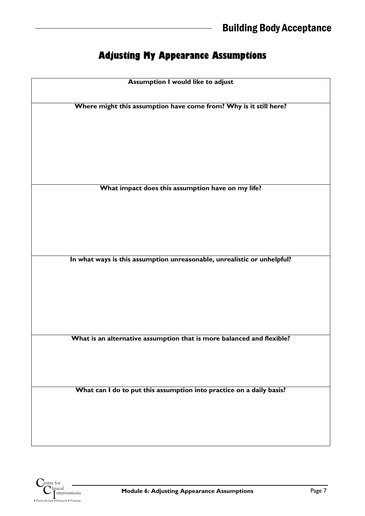# **Adjusting My Appearance Assumptions**

| <b>Assumption I would like to adjust</b><br>Where might this assumption have come from? Why is it still here?<br>What impact does this assumption have on my life? |
|--------------------------------------------------------------------------------------------------------------------------------------------------------------------|
|                                                                                                                                                                    |
|                                                                                                                                                                    |
|                                                                                                                                                                    |
|                                                                                                                                                                    |
|                                                                                                                                                                    |
|                                                                                                                                                                    |
|                                                                                                                                                                    |
|                                                                                                                                                                    |
|                                                                                                                                                                    |
|                                                                                                                                                                    |
|                                                                                                                                                                    |
|                                                                                                                                                                    |
|                                                                                                                                                                    |
|                                                                                                                                                                    |
|                                                                                                                                                                    |
|                                                                                                                                                                    |
|                                                                                                                                                                    |
|                                                                                                                                                                    |
|                                                                                                                                                                    |
|                                                                                                                                                                    |
|                                                                                                                                                                    |
|                                                                                                                                                                    |
|                                                                                                                                                                    |
|                                                                                                                                                                    |
|                                                                                                                                                                    |
|                                                                                                                                                                    |
| In what ways is this assumption unreasonable, unrealistic or unhelpful?                                                                                            |
|                                                                                                                                                                    |
|                                                                                                                                                                    |
|                                                                                                                                                                    |
|                                                                                                                                                                    |
|                                                                                                                                                                    |
|                                                                                                                                                                    |
|                                                                                                                                                                    |
|                                                                                                                                                                    |
|                                                                                                                                                                    |
|                                                                                                                                                                    |
|                                                                                                                                                                    |
| What is an alternative assumption that is more balanced and flexible?                                                                                              |
|                                                                                                                                                                    |
|                                                                                                                                                                    |
|                                                                                                                                                                    |
|                                                                                                                                                                    |
|                                                                                                                                                                    |
|                                                                                                                                                                    |
| What can I do to put this assumption into practice on a daily basis?                                                                                               |
|                                                                                                                                                                    |
|                                                                                                                                                                    |
|                                                                                                                                                                    |
|                                                                                                                                                                    |
|                                                                                                                                                                    |
|                                                                                                                                                                    |
|                                                                                                                                                                    |
|                                                                                                                                                                    |
|                                                                                                                                                                    |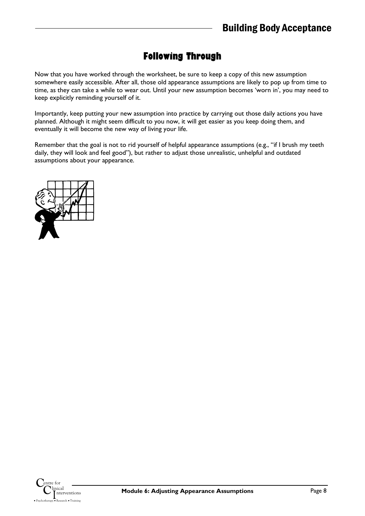# **Following Through**

Now that you have worked through the worksheet, be sure to keep a copy of this new assumption somewhere easily accessible. After all, those old appearance assumptions are likely to pop up from time to time, as they can take a while to wear out. Until your new assumption becomes 'worn in', you may need to keep explicitly reminding yourself of it.

Importantly, keep putting your new assumption into practice by carrying out those daily actions you have planned. Although it might seem difficult to you now, it will get easier as you keep doing them, and eventually it will become the new way of living your life.

Remember that the goal is not to rid yourself of helpful appearance assumptions (e.g., "if I brush my teeth daily, they will look and feel good"), but rather to adjust those unrealistic, unhelpful and outdated assumptions about your appearance.

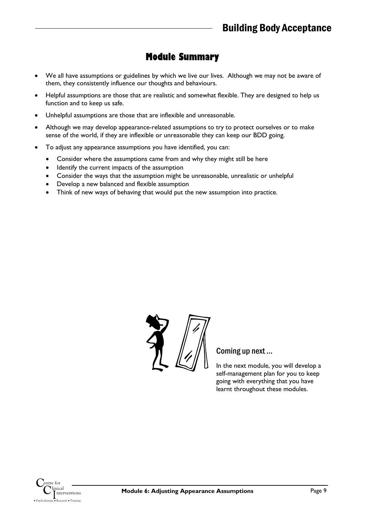## **Module Summary**

- We all have assumptions or guidelines by which we live our lives. Although we may not be aware of them, they consistently influence our thoughts and behaviours.
- Helpful assumptions are those that are realistic and somewhat flexible. They are designed to help us function and to keep us safe.
- Unhelpful assumptions are those that are inflexible and unreasonable.
- Although we may develop appearance-related assumptions to try to protect ourselves or to make sense of the world, if they are inflexible or unreasonable they can keep our BDD going.
- To adjust any appearance assumptions you have identified, you can:
	- Consider where the assumptions came from and why they might still be here
	- Identify the current impacts of the assumption
	- Consider the ways that the assumption might be unreasonable, unrealistic or unhelpful
	- Develop a new balanced and flexible assumption
	- Think of new ways of behaving that would put the new assumption into practice.



### Coming up next …

In the next module, you will develop a self-management plan for you to keep going with everything that you have learnt throughout these modules.